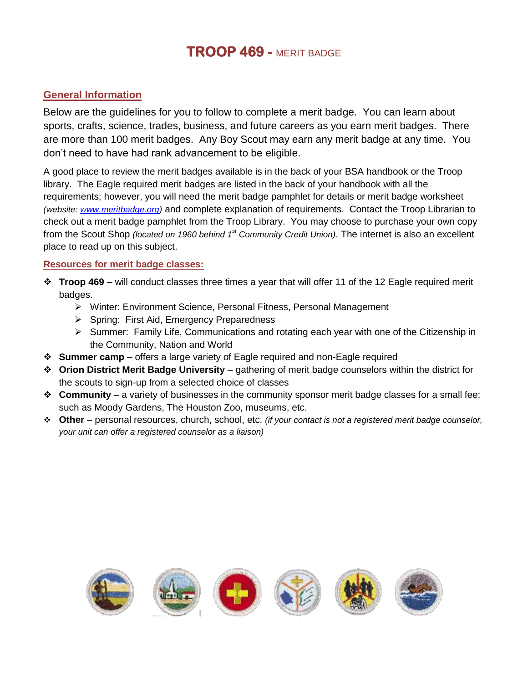## **TROOP 469 -** MERIT BADGE

## **General Information**

Below are the guidelines for you to follow to complete a merit badge. You can learn about sports, crafts, science, trades, business, and future careers as you earn merit badges. There are more than 100 merit badges. Any Boy Scout may earn any merit badge at any time. You don't need to have had rank advancement to be eligible.

A good place to review the merit badges available is in the back of your BSA handbook or the Troop library. The Eagle required merit badges are listed in the back of your handbook with all the requirements; however, you will need the merit badge pamphlet for details or merit badge worksheet *(website: [www.meritbadge.org\)](http://www.meritbadge.org/)* and complete explanation of requirements. Contact the Troop Librarian to check out a merit badge pamphlet from the Troop Library. You may choose to purchase your own copy from the Scout Shop *(located on 1960 behind 1st Community Credit Union)*. The internet is also an excellent place to read up on this subject.

## **Resources for merit badge classes:**

- **Troop 469** will conduct classes three times a year that will offer 11 of the 12 Eagle required merit badges.
	- Winter: Environment Science, Personal Fitness, Personal Management
	- $\triangleright$  Spring: First Aid, Emergency Preparedness
	- $\triangleright$  Summer: Family Life, Communications and rotating each year with one of the Citizenship in the Community, Nation and World
- **Summer camp** offers a large variety of Eagle required and non-Eagle required
- **Orion District Merit Badge University** gathering of merit badge counselors within the district for the scouts to sign-up from a selected choice of classes
- **Community** a variety of businesses in the community sponsor merit badge classes for a small fee: such as Moody Gardens, The Houston Zoo, museums, etc.
- **Other**  personal resources, church, school, etc. *(if your contact is not a registered merit badge counselor, your unit can offer a registered counselor as a liaison)*